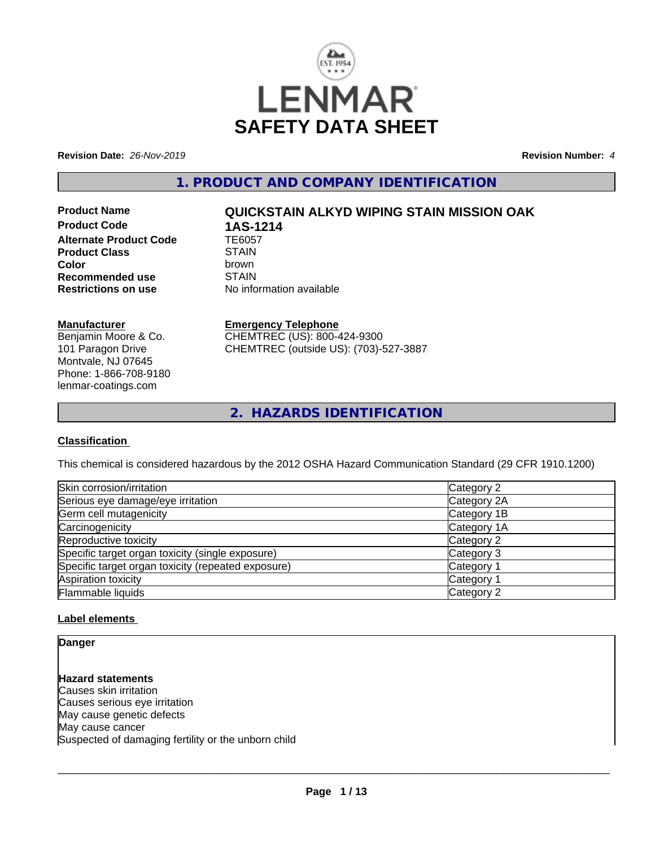

**Revision Date:** *26-Nov-2019* **Revision Number:** *4*

**1. PRODUCT AND COMPANY IDENTIFICATION**

**Product Code 1AS-1214**<br>Alternate Product Code 1E6057 **Alternate Product Code TE6057<br>Product Class STAIN Product Class** STAIN<br> **Color Color** brown **Recommended use** STAIN<br> **Restrictions on use** No info

# **Product Name QUICKSTAIN ALKYD WIPING STAIN MISSION OAK**

**No information available** 

### **Manufacturer**

Benjamin Moore & Co. 101 Paragon Drive Montvale, NJ 07645 Phone: 1-866-708-9180 lenmar-coatings.com

# **Emergency Telephone**

CHEMTREC (US): 800-424-9300 CHEMTREC (outside US): (703)-527-3887

**2. HAZARDS IDENTIFICATION**

### **Classification**

This chemical is considered hazardous by the 2012 OSHA Hazard Communication Standard (29 CFR 1910.1200)

| Skin corrosion/irritation                          | Category 2  |
|----------------------------------------------------|-------------|
| Serious eye damage/eye irritation                  | Category 2A |
| Germ cell mutagenicity                             | Category 1B |
| Carcinogenicity                                    | Category 1A |
| Reproductive toxicity                              | Category 2  |
| Specific target organ toxicity (single exposure)   | Category 3  |
| Specific target organ toxicity (repeated exposure) | Category 1  |
| Aspiration toxicity                                | Category 1  |
| Flammable liquids                                  | Category 2  |

### **Label elements**

**Danger**

**Hazard statements** Causes skin irritation Causes serious eye irritation May cause genetic defects May cause cancer Suspected of damaging fertility or the unborn child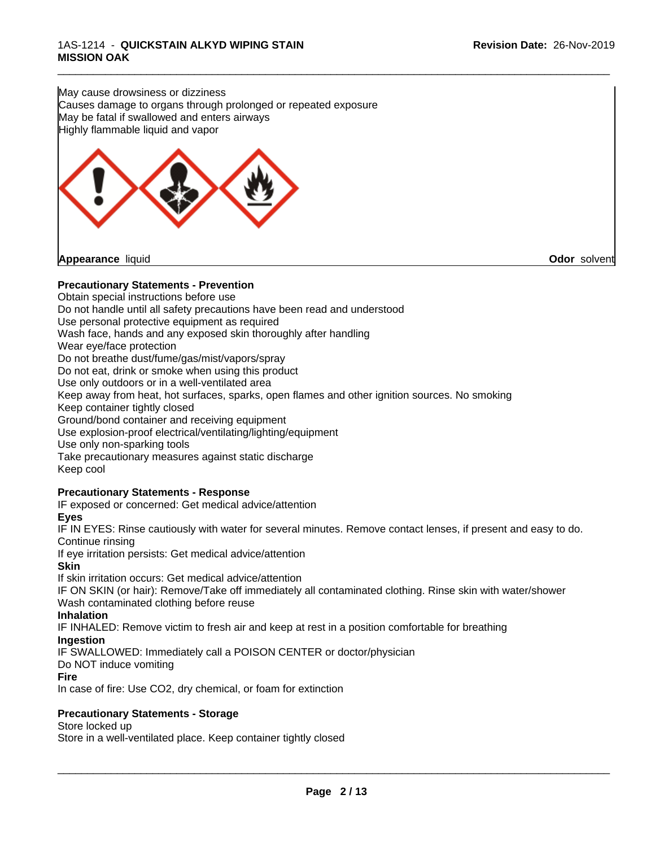May cause drowsiness or dizziness Causes damage to organs through prolonged or repeated exposure May be fatal if swallowed and enters airways Highly flammable liquid and vapor



### **Precautionary Statements - Prevention**

Obtain special instructions before use Do not handle until all safety precautions have been read and understood Use personal protective equipment as required Wash face, hands and any exposed skin thoroughly after handling Wear eye/face protection Do not breathe dust/fume/gas/mist/vapors/spray Do not eat, drink or smoke when using this product Use only outdoors or in a well-ventilated area Keep away from heat, hot surfaces, sparks, open flames and other ignition sources. No smoking Keep container tightly closed Ground/bond container and receiving equipment Use explosion-proof electrical/ventilating/lighting/equipment Use only non-sparking tools Take precautionary measures against static discharge Keep cool

\_\_\_\_\_\_\_\_\_\_\_\_\_\_\_\_\_\_\_\_\_\_\_\_\_\_\_\_\_\_\_\_\_\_\_\_\_\_\_\_\_\_\_\_\_\_\_\_\_\_\_\_\_\_\_\_\_\_\_\_\_\_\_\_\_\_\_\_\_\_\_\_\_\_\_\_\_\_\_\_\_\_\_\_\_\_\_\_\_\_\_\_\_

# **Precautionary Statements - Response**

IF exposed or concerned: Get medical advice/attention

### **Eyes**

IF IN EYES: Rinse cautiously with water for several minutes. Remove contact lenses, if present and easy to do. Continue rinsing

If eye irritation persists: Get medical advice/attention

### **Skin**

If skin irritation occurs: Get medical advice/attention

IF ON SKIN (or hair): Remove/Take off immediately all contaminated clothing. Rinse skin with water/shower Wash contaminated clothing before reuse

### **Inhalation**

IF INHALED: Remove victim to fresh air and keep atrest in a position comfortable for breathing

### **Ingestion**

IF SWALLOWED: Immediately call a POISON CENTER or doctor/physician

### Do NOT induce vomiting

**Fire**

In case of fire: Use CO2, dry chemical, or foam for extinction

### **Precautionary Statements - Storage**

### Store locked up

Store in a well-ventilated place. Keep container tightly closed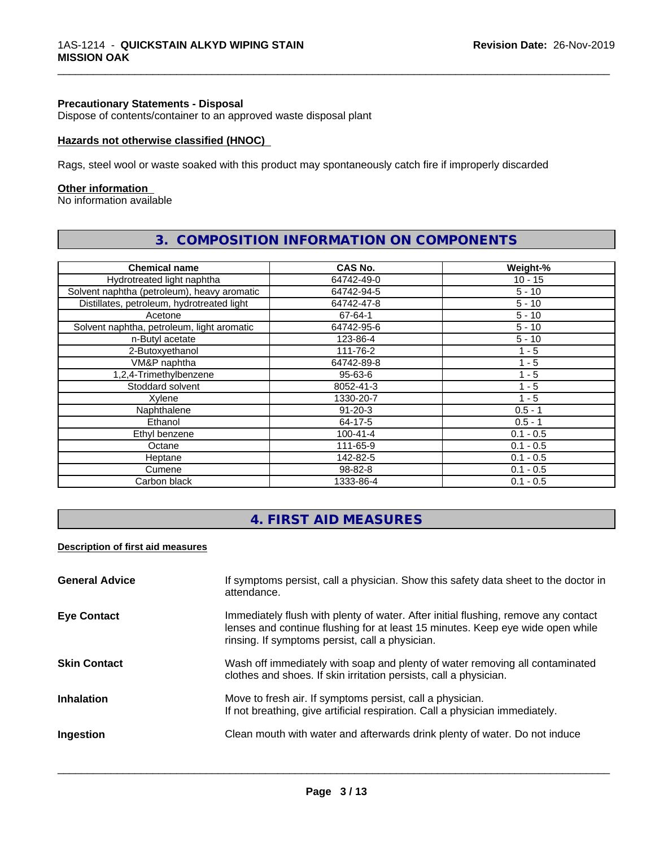### **Precautionary Statements - Disposal**

Dispose of contents/container to an approved waste disposal plant

### **Hazards not otherwise classified (HNOC)**

Rags, steel wool or waste soaked with this product may spontaneously catch fire if improperly discarded

### **Other information**

No information available

| <b>Chemical name</b>                        | CAS No.        | Weight-%    |
|---------------------------------------------|----------------|-------------|
| Hydrotreated light naphtha                  | 64742-49-0     | $10 - 15$   |
| Solvent naphtha (petroleum), heavy aromatic | 64742-94-5     | $5 - 10$    |
| Distillates, petroleum, hydrotreated light  | 64742-47-8     | $5 - 10$    |
| Acetone                                     | 67-64-1        | $5 - 10$    |
| Solvent naphtha, petroleum, light aromatic  | 64742-95-6     | $5 - 10$    |
| n-Butyl acetate                             | 123-86-4       | $5 - 10$    |
| 2-Butoxyethanol                             | 111-76-2       | $1 - 5$     |
| VM&P naphtha                                | 64742-89-8     | 1 - 5       |
| 1,2,4-Trimethylbenzene                      | $95 - 63 - 6$  | $1 - 5$     |
| Stoddard solvent                            | 8052-41-3      | 1 - 5       |
| Xylene                                      | 1330-20-7      | $1 - 5$     |
| Naphthalene                                 | $91 - 20 - 3$  | $0.5 - 1$   |
| Ethanol                                     | 64-17-5        | $0.5 - 1$   |
| Ethyl benzene                               | $100 - 41 - 4$ | $0.1 - 0.5$ |
| Octane                                      | 111-65-9       | $0.1 - 0.5$ |
| Heptane                                     | 142-82-5       | $0.1 - 0.5$ |
| Cumene                                      | 98-82-8        | $0.1 - 0.5$ |
| Carbon black                                | 1333-86-4      | $0.1 - 0.5$ |

# **3. COMPOSITION INFORMATION ON COMPONENTS**

\_\_\_\_\_\_\_\_\_\_\_\_\_\_\_\_\_\_\_\_\_\_\_\_\_\_\_\_\_\_\_\_\_\_\_\_\_\_\_\_\_\_\_\_\_\_\_\_\_\_\_\_\_\_\_\_\_\_\_\_\_\_\_\_\_\_\_\_\_\_\_\_\_\_\_\_\_\_\_\_\_\_\_\_\_\_\_\_\_\_\_\_\_

# **4. FIRST AID MEASURES**

### **Description of first aid measures**

| <b>General Advice</b> | If symptoms persist, call a physician. Show this safety data sheet to the doctor in<br>attendance.                                                                                                                      |
|-----------------------|-------------------------------------------------------------------------------------------------------------------------------------------------------------------------------------------------------------------------|
| <b>Eye Contact</b>    | Immediately flush with plenty of water. After initial flushing, remove any contact<br>lenses and continue flushing for at least 15 minutes. Keep eye wide open while<br>rinsing. If symptoms persist, call a physician. |
| <b>Skin Contact</b>   | Wash off immediately with soap and plenty of water removing all contaminated<br>clothes and shoes. If skin irritation persists, call a physician.                                                                       |
| <b>Inhalation</b>     | Move to fresh air. If symptoms persist, call a physician.<br>If not breathing, give artificial respiration. Call a physician immediately.                                                                               |
| Ingestion             | Clean mouth with water and afterwards drink plenty of water. Do not induce                                                                                                                                              |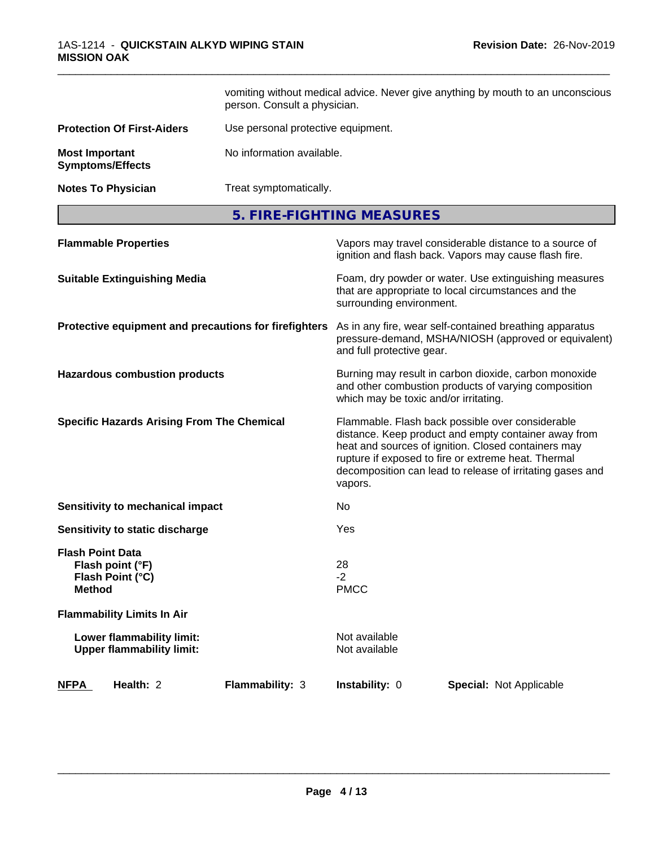|                                                                                  | vomiting without medical advice. Never give anything by mouth to an unconscious<br>person. Consult a physician. |                                                                                                                                                                                                                                                                                                |  |
|----------------------------------------------------------------------------------|-----------------------------------------------------------------------------------------------------------------|------------------------------------------------------------------------------------------------------------------------------------------------------------------------------------------------------------------------------------------------------------------------------------------------|--|
| <b>Protection Of First-Aiders</b>                                                | Use personal protective equipment.                                                                              |                                                                                                                                                                                                                                                                                                |  |
| <b>Most Important</b><br><b>Symptoms/Effects</b>                                 | No information available.                                                                                       |                                                                                                                                                                                                                                                                                                |  |
| <b>Notes To Physician</b>                                                        | Treat symptomatically.                                                                                          |                                                                                                                                                                                                                                                                                                |  |
|                                                                                  |                                                                                                                 | 5. FIRE-FIGHTING MEASURES                                                                                                                                                                                                                                                                      |  |
| <b>Flammable Properties</b>                                                      |                                                                                                                 | Vapors may travel considerable distance to a source of<br>ignition and flash back. Vapors may cause flash fire.                                                                                                                                                                                |  |
| <b>Suitable Extinguishing Media</b>                                              |                                                                                                                 | Foam, dry powder or water. Use extinguishing measures<br>that are appropriate to local circumstances and the<br>surrounding environment.                                                                                                                                                       |  |
| Protective equipment and precautions for firefighters                            |                                                                                                                 | As in any fire, wear self-contained breathing apparatus<br>pressure-demand, MSHA/NIOSH (approved or equivalent)<br>and full protective gear.                                                                                                                                                   |  |
| <b>Hazardous combustion products</b>                                             |                                                                                                                 | Burning may result in carbon dioxide, carbon monoxide<br>and other combustion products of varying composition<br>which may be toxic and/or irritating.                                                                                                                                         |  |
| <b>Specific Hazards Arising From The Chemical</b>                                |                                                                                                                 | Flammable. Flash back possible over considerable<br>distance. Keep product and empty container away from<br>heat and sources of ignition. Closed containers may<br>rupture if exposed to fire or extreme heat. Thermal<br>decomposition can lead to release of irritating gases and<br>vapors. |  |
| Sensitivity to mechanical impact                                                 |                                                                                                                 | No.                                                                                                                                                                                                                                                                                            |  |
| Sensitivity to static discharge                                                  |                                                                                                                 | Yes                                                                                                                                                                                                                                                                                            |  |
| <b>Flash Point Data</b><br>Flash point (°F)<br>Flash Point (°C)<br><b>Method</b> |                                                                                                                 | 28<br>$-2$<br><b>PMCC</b>                                                                                                                                                                                                                                                                      |  |
| <b>Flammability Limits In Air</b>                                                |                                                                                                                 |                                                                                                                                                                                                                                                                                                |  |
| Lower flammability limit:<br><b>Upper flammability limit:</b>                    |                                                                                                                 | Not available<br>Not available                                                                                                                                                                                                                                                                 |  |
| <b>NFPA</b><br>Health: 2                                                         | Flammability: 3                                                                                                 | Instability: 0<br><b>Special: Not Applicable</b>                                                                                                                                                                                                                                               |  |

\_\_\_\_\_\_\_\_\_\_\_\_\_\_\_\_\_\_\_\_\_\_\_\_\_\_\_\_\_\_\_\_\_\_\_\_\_\_\_\_\_\_\_\_\_\_\_\_\_\_\_\_\_\_\_\_\_\_\_\_\_\_\_\_\_\_\_\_\_\_\_\_\_\_\_\_\_\_\_\_\_\_\_\_\_\_\_\_\_\_\_\_\_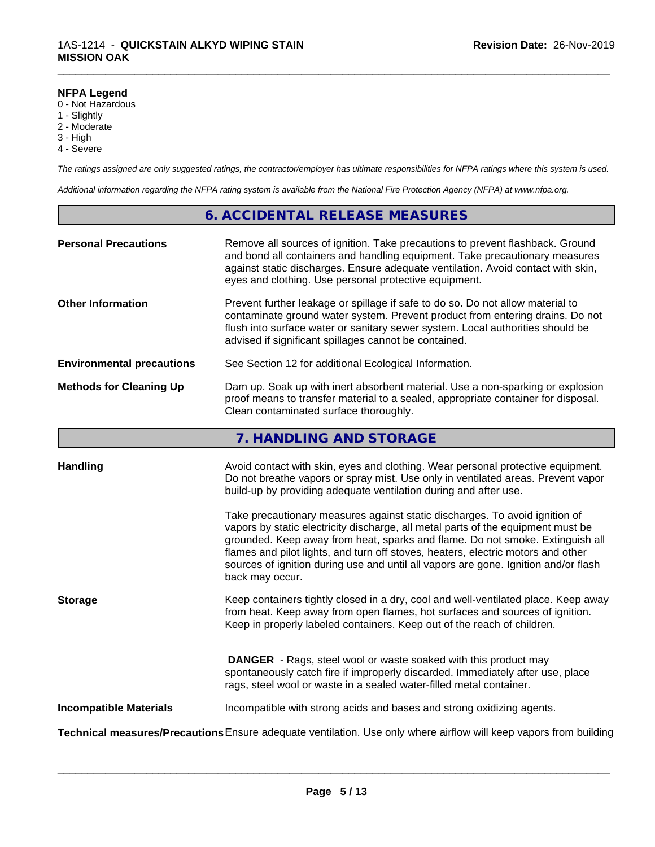### **NFPA Legend**

- 0 Not Hazardous
- 1 Slightly
- 2 Moderate
- 3 High
- 4 Severe

*The ratings assigned are only suggested ratings, the contractor/employer has ultimate responsibilities for NFPA ratings where this system is used.*

\_\_\_\_\_\_\_\_\_\_\_\_\_\_\_\_\_\_\_\_\_\_\_\_\_\_\_\_\_\_\_\_\_\_\_\_\_\_\_\_\_\_\_\_\_\_\_\_\_\_\_\_\_\_\_\_\_\_\_\_\_\_\_\_\_\_\_\_\_\_\_\_\_\_\_\_\_\_\_\_\_\_\_\_\_\_\_\_\_\_\_\_\_

*Additional information regarding the NFPA rating system is available from the National Fire Protection Agency (NFPA) at www.nfpa.org.*

### **6. ACCIDENTAL RELEASE MEASURES**

| <b>Personal Precautions</b>      | Remove all sources of ignition. Take precautions to prevent flashback. Ground<br>and bond all containers and handling equipment. Take precautionary measures<br>against static discharges. Ensure adequate ventilation. Avoid contact with skin,<br>eyes and clothing. Use personal protective equipment.  |
|----------------------------------|------------------------------------------------------------------------------------------------------------------------------------------------------------------------------------------------------------------------------------------------------------------------------------------------------------|
| <b>Other Information</b>         | Prevent further leakage or spillage if safe to do so. Do not allow material to<br>contaminate ground water system. Prevent product from entering drains. Do not<br>flush into surface water or sanitary sewer system. Local authorities should be<br>advised if significant spillages cannot be contained. |
| <b>Environmental precautions</b> | See Section 12 for additional Ecological Information.                                                                                                                                                                                                                                                      |
| <b>Methods for Cleaning Up</b>   | Dam up. Soak up with inert absorbent material. Use a non-sparking or explosion<br>proof means to transfer material to a sealed, appropriate container for disposal.<br>Clean contaminated surface thoroughly.                                                                                              |

# **7. HANDLING AND STORAGE**

| <b>Handling</b>               | Avoid contact with skin, eyes and clothing. Wear personal protective equipment.<br>Do not breathe vapors or spray mist. Use only in ventilated areas. Prevent vapor                                                                                                                                                  |
|-------------------------------|----------------------------------------------------------------------------------------------------------------------------------------------------------------------------------------------------------------------------------------------------------------------------------------------------------------------|
|                               | build-up by providing adequate ventilation during and after use.<br>Take precautionary measures against static discharges. To avoid ignition of<br>vapors by static electricity discharge, all metal parts of the equipment must be<br>grounded. Keep away from heat, sparks and flame. Do not smoke. Extinguish all |
|                               | flames and pilot lights, and turn off stoves, heaters, electric motors and other<br>sources of ignition during use and until all vapors are gone. Ignition and/or flash<br>back may occur.                                                                                                                           |
| <b>Storage</b>                | Keep containers tightly closed in a dry, cool and well-ventilated place. Keep away<br>from heat. Keep away from open flames, hot surfaces and sources of ignition.<br>Keep in properly labeled containers. Keep out of the reach of children.                                                                        |
|                               | <b>DANGER</b> - Rags, steel wool or waste soaked with this product may<br>spontaneously catch fire if improperly discarded. Immediately after use, place<br>rags, steel wool or waste in a sealed water-filled metal container.                                                                                      |
| <b>Incompatible Materials</b> | Incompatible with strong acids and bases and strong oxidizing agents.                                                                                                                                                                                                                                                |
|                               | Technical measures/Precautions Ensure adequate ventilation. Use only where airflow will keep vapors from building                                                                                                                                                                                                    |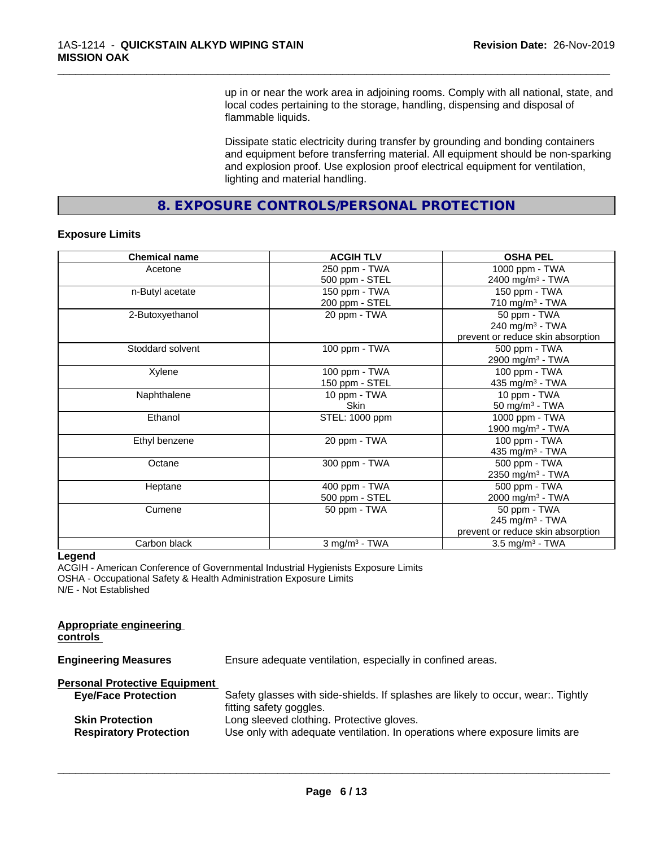up in or near the work area in adjoining rooms. Comply with all national, state, and local codes pertaining to the storage, handling, dispensing and disposal of flammable liquids.

\_\_\_\_\_\_\_\_\_\_\_\_\_\_\_\_\_\_\_\_\_\_\_\_\_\_\_\_\_\_\_\_\_\_\_\_\_\_\_\_\_\_\_\_\_\_\_\_\_\_\_\_\_\_\_\_\_\_\_\_\_\_\_\_\_\_\_\_\_\_\_\_\_\_\_\_\_\_\_\_\_\_\_\_\_\_\_\_\_\_\_\_\_

Dissipate static electricity during transfer by grounding and bonding containers and equipment before transferring material. All equipment should be non-sparking and explosion proof. Use explosion proof electrical equipment for ventilation, lighting and material handling.

**8. EXPOSURE CONTROLS/PERSONAL PROTECTION**

### **Exposure Limits**

| <b>Chemical name</b> | <b>ACGIH TLV</b>            | <b>OSHA PEL</b>                   |
|----------------------|-----------------------------|-----------------------------------|
| Acetone              | 250 ppm - TWA               | 1000 ppm - TWA                    |
|                      | 500 ppm - STEL              | 2400 mg/m <sup>3</sup> - TWA      |
| n-Butyl acetate      | 150 ppm - TWA               | 150 ppm - TWA                     |
|                      | 200 ppm - STEL              | 710 mg/m $3$ - TWA                |
| 2-Butoxyethanol      | 20 ppm - TWA                | 50 ppm - TWA                      |
|                      |                             | 240 mg/m $3$ - TWA                |
|                      |                             | prevent or reduce skin absorption |
| Stoddard solvent     | 100 ppm - TWA               | 500 ppm - TWA                     |
|                      |                             | 2900 mg/m <sup>3</sup> - TWA      |
| Xylene               | 100 ppm - TWA               | 100 ppm - TWA                     |
|                      | 150 ppm - STEL              | 435 mg/m $3$ - TWA                |
| Naphthalene          | 10 ppm - TWA                | 10 ppm - TWA                      |
|                      | <b>Skin</b>                 | 50 mg/m <sup>3</sup> - TWA        |
| Ethanol              | STEL: 1000 ppm              | 1000 ppm - TWA                    |
|                      |                             | 1900 mg/m <sup>3</sup> - TWA      |
| Ethyl benzene        | 20 ppm - TWA                | $\overline{100}$ ppm - TWA        |
|                      |                             | 435 mg/m <sup>3</sup> - TWA       |
| Octane               | 300 ppm - TWA               | 500 ppm - TWA                     |
|                      |                             | 2350 mg/m <sup>3</sup> - TWA      |
| Heptane              | 400 ppm - TWA               | 500 ppm - TWA                     |
|                      | 500 ppm - STEL              | 2000 mg/m <sup>3</sup> - TWA      |
| Cumene               | 50 ppm - TWA                | 50 ppm - TWA                      |
|                      |                             | 245 mg/m <sup>3</sup> - TWA       |
|                      |                             | prevent or reduce skin absorption |
| Carbon black         | $3$ mg/m <sup>3</sup> - TWA | $3.5 \text{ mg/m}^3$ - TWA        |

### **Legend**

**Appropriate engineering**

ACGIH - American Conference of Governmental Industrial Hygienists Exposure Limits OSHA - Occupational Safety & Health Administration Exposure Limits N/E - Not Established

| controls                                                |                                                                                                                          |
|---------------------------------------------------------|--------------------------------------------------------------------------------------------------------------------------|
| <b>Engineering Measures</b>                             | Ensure adequate ventilation, especially in confined areas.                                                               |
| <b>Personal Protective Equipment</b>                    |                                                                                                                          |
| <b>Eye/Face Protection</b>                              | Safety glasses with side-shields. If splashes are likely to occur, wear:. Tightly<br>fitting safety goggles.             |
| <b>Skin Protection</b><br><b>Respiratory Protection</b> | Long sleeved clothing. Protective gloves.<br>Use only with adequate ventilation. In operations where exposure limits are |
|                                                         |                                                                                                                          |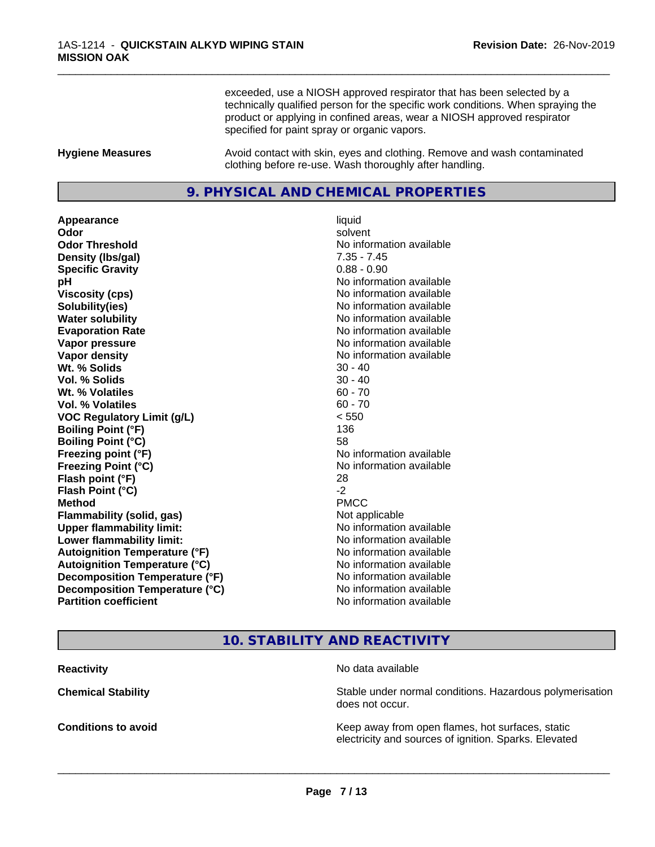exceeded, use a NIOSH approved respirator that has been selected by a technically qualified person for the specific work conditions. When spraying the product or applying in confined areas, wear a NIOSH approved respirator specified for paint spray or organic vapors.

\_\_\_\_\_\_\_\_\_\_\_\_\_\_\_\_\_\_\_\_\_\_\_\_\_\_\_\_\_\_\_\_\_\_\_\_\_\_\_\_\_\_\_\_\_\_\_\_\_\_\_\_\_\_\_\_\_\_\_\_\_\_\_\_\_\_\_\_\_\_\_\_\_\_\_\_\_\_\_\_\_\_\_\_\_\_\_\_\_\_\_\_\_

**Hygiene Measures** Avoid contact with skin, eyes and clothing. Remove and wash contaminated clothing before re-use. Wash thoroughly after handling.

# **9. PHYSICAL AND CHEMICAL PROPERTIES**

**Appearance** liquid **Odor** solvent **Odor Threshold** No information available **Density (lbs/gal)** 7.35 - 7.45 **Specific Gravity** 0.88 - 0.90 **pH pH**  $\blacksquare$ **Viscosity (cps)** No information available **Solubility(ies)** No information available **Water solubility** No information available **Evaporation Rate No information available No information available Vapor pressure** No information available **No information** available **Vapor density No information available No information available Wt.** % Solids 30 - 40 **Vol. % Solids** 30 - 40 **Wt. % Volatiles** 60 - 70 **Vol. % Volatiles** 60 - 70 **VOC Regulatory Limit (g/L)** < 550 **Boiling Point (°F)** 136 **Boiling Point (°C)** 58 **Freezing point (°F)** No information available **Freezing Point (°C)** The state of the Monometer of Noinformation available **Flash point (°F)** 28 **Flash Point (°C)** -2 **Method** PMCC **Flammability (solid, gas)** Not applicable **Upper flammability limit:** No information available **Lower flammability limit:**  $\qquad \qquad \qquad$  No information available **Autoignition Temperature (°F)** No information available **Autoignition Temperature (°C)** No information available **Decomposition Temperature (°F)** No information available<br> **Decomposition Temperature (°C)** No information available **Decomposition Temperature (°C) Partition coefficient** No information available

# **10. STABILITY AND REACTIVITY**

**Reactivity** No data available

 $\overline{\phantom{a}}$  ,  $\overline{\phantom{a}}$  ,  $\overline{\phantom{a}}$  ,  $\overline{\phantom{a}}$  ,  $\overline{\phantom{a}}$  ,  $\overline{\phantom{a}}$  ,  $\overline{\phantom{a}}$  ,  $\overline{\phantom{a}}$  ,  $\overline{\phantom{a}}$  ,  $\overline{\phantom{a}}$  ,  $\overline{\phantom{a}}$  ,  $\overline{\phantom{a}}$  ,  $\overline{\phantom{a}}$  ,  $\overline{\phantom{a}}$  ,  $\overline{\phantom{a}}$  ,  $\overline{\phantom{a}}$ 

**Chemical Stability Stability** Stable under normal conditions. Hazardous polymerisation does not occur.

**Conditions to avoid Keep away from open flames, hot surfaces, static Conditions to avoid Keep away from open flames**, hot surfaces, static electricity and sources of ignition. Sparks. Elevated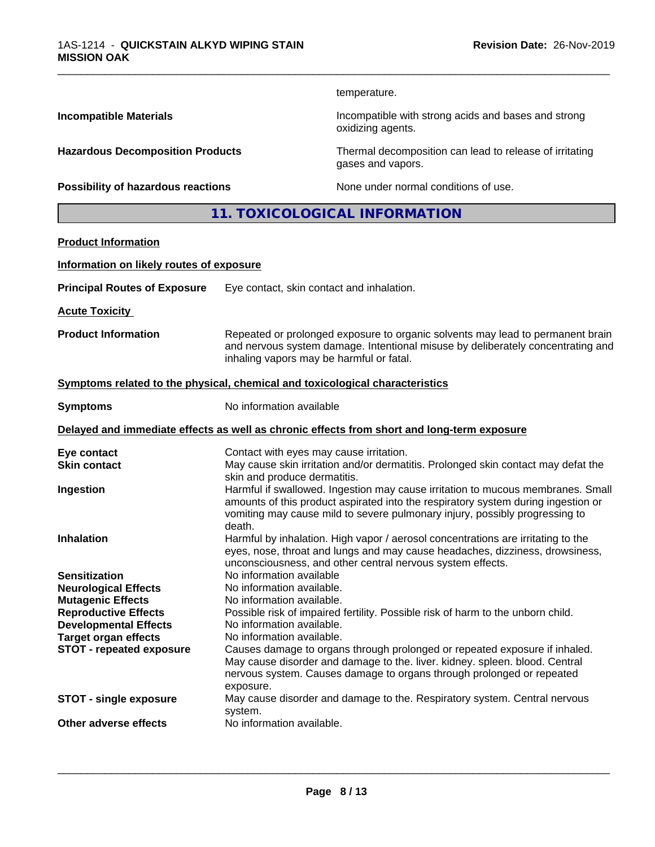temperature.

oxidizing agents.

gases and vapors.

\_\_\_\_\_\_\_\_\_\_\_\_\_\_\_\_\_\_\_\_\_\_\_\_\_\_\_\_\_\_\_\_\_\_\_\_\_\_\_\_\_\_\_\_\_\_\_\_\_\_\_\_\_\_\_\_\_\_\_\_\_\_\_\_\_\_\_\_\_\_\_\_\_\_\_\_\_\_\_\_\_\_\_\_\_\_\_\_\_\_\_\_\_

**Incompatible Materials Incompatible with strong acids and bases and strong** 

**Hazardous Decomposition Products** Thermal decomposition can lead to release of irritating

**Possibility of hazardous reactions** None under normal conditions of use.

**11. TOXICOLOGICAL INFORMATION**

### **Product Information**

### **Information on likely routes of exposure**

| <b>Principal Routes of Exposure</b> | Eye contact, skin contact and inhalation. |
|-------------------------------------|-------------------------------------------|
|-------------------------------------|-------------------------------------------|

**Acute Toxicity** 

**Product Information** Repeated or prolonged exposure to organic solvents may lead to permanent brain and nervous system damage. Intentional misuse by deliberately concentrating and inhaling vapors may be harmful or fatal.

### **<u>Symptoms related to the physical, chemical and toxicological characteristics</u>**

**Symptoms** No information available

### **Delayed and immediate effects as well as chronic effects from short and long-term exposure**

| Eye contact                     | Contact with eyes may cause irritation.                                                                           |
|---------------------------------|-------------------------------------------------------------------------------------------------------------------|
| <b>Skin contact</b>             | May cause skin irritation and/or dermatitis. Prolonged skin contact may defat the<br>skin and produce dermatitis. |
|                                 |                                                                                                                   |
| Ingestion                       | Harmful if swallowed. Ingestion may cause irritation to mucous membranes. Small                                   |
|                                 | amounts of this product aspirated into the respiratory system during ingestion or                                 |
|                                 | vomiting may cause mild to severe pulmonary injury, possibly progressing to<br>death.                             |
| <b>Inhalation</b>               | Harmful by inhalation. High vapor / aerosol concentrations are irritating to the                                  |
|                                 | eyes, nose, throat and lungs and may cause headaches, dizziness, drowsiness,                                      |
|                                 | unconsciousness, and other central nervous system effects.                                                        |
| <b>Sensitization</b>            | No information available                                                                                          |
|                                 |                                                                                                                   |
| <b>Neurological Effects</b>     | No information available.                                                                                         |
| <b>Mutagenic Effects</b>        | No information available.                                                                                         |
| <b>Reproductive Effects</b>     | Possible risk of impaired fertility. Possible risk of harm to the unborn child.                                   |
| <b>Developmental Effects</b>    | No information available.                                                                                         |
| <b>Target organ effects</b>     | No information available.                                                                                         |
| <b>STOT - repeated exposure</b> | Causes damage to organs through prolonged or repeated exposure if inhaled.                                        |
|                                 | May cause disorder and damage to the. liver. kidney. spleen. blood. Central                                       |
|                                 | nervous system. Causes damage to organs through prolonged or repeated                                             |
|                                 | exposure.                                                                                                         |
|                                 |                                                                                                                   |
| <b>STOT - single exposure</b>   | May cause disorder and damage to the. Respiratory system. Central nervous<br>system.                              |
| Other adverse effects           | No information available.                                                                                         |
|                                 |                                                                                                                   |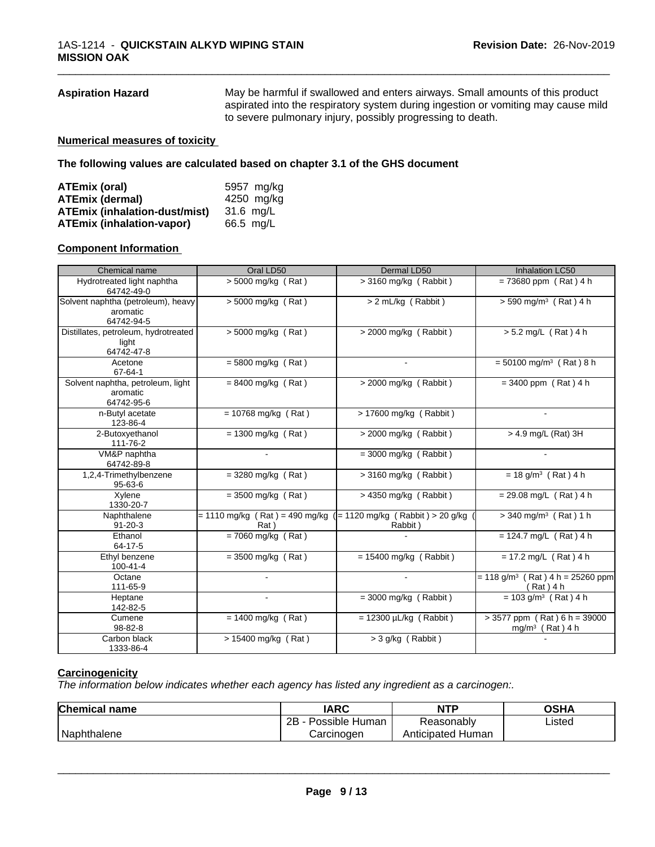**Aspiration Hazard** May be harmful if swallowed and enters airways. Small amounts of this product aspirated into the respiratory system during ingestion or vomiting may cause mild to severe pulmonary injury, possibly progressing to death.

\_\_\_\_\_\_\_\_\_\_\_\_\_\_\_\_\_\_\_\_\_\_\_\_\_\_\_\_\_\_\_\_\_\_\_\_\_\_\_\_\_\_\_\_\_\_\_\_\_\_\_\_\_\_\_\_\_\_\_\_\_\_\_\_\_\_\_\_\_\_\_\_\_\_\_\_\_\_\_\_\_\_\_\_\_\_\_\_\_\_\_\_\_

### **Numerical measures of toxicity**

**The following values are calculated based on chapter 3.1 of the GHS document**

| ATEmix (oral)                        | 5957 mg/kg |
|--------------------------------------|------------|
| <b>ATEmix (dermal)</b>               | 4250 mg/kg |
| <b>ATEmix (inhalation-dust/mist)</b> | 31.6 ma/L  |
| <b>ATEmix (inhalation-vapor)</b>     | 66.5 mg/L  |

### **Component Information**

| Chemical name                                                | Oral LD50                                                                    | Dermal LD50                 | <b>Inhalation LC50</b>                                        |
|--------------------------------------------------------------|------------------------------------------------------------------------------|-----------------------------|---------------------------------------------------------------|
| Hydrotreated light naphtha<br>64742-49-0                     | $> 5000$ mg/kg (Rat)                                                         | $>$ 3160 mg/kg (Rabbit)     | $= 73680$ ppm (Rat) 4 h                                       |
| Solvent naphtha (petroleum), heavy<br>aromatic<br>64742-94-5 | $> 5000$ mg/kg (Rat)                                                         | > 2 mL/kg (Rabbit)          | $> 590$ mg/m <sup>3</sup> (Rat) 4 h                           |
| Distillates, petroleum, hydrotreated<br>light<br>64742-47-8  | $\sqrt{5000}$ mg/kg (Rat)                                                    | $>$ 2000 mg/kg (Rabbit)     | $> 5.2$ mg/L (Rat) 4 h                                        |
| Acetone<br>67-64-1                                           | $= 5800$ mg/kg (Rat)                                                         |                             | $= 50100$ mg/m <sup>3</sup> (Rat) 8 h                         |
| Solvent naphtha, petroleum, light<br>aromatic<br>64742-95-6  | $= 8400$ mg/kg (Rat)                                                         | > 2000 mg/kg (Rabbit)       | $= 3400$ ppm (Rat) 4 h                                        |
| n-Butyl acetate<br>123-86-4                                  | $= 10768$ mg/kg (Rat)                                                        | > 17600 mg/kg (Rabbit)      |                                                               |
| 2-Butoxyethanol<br>111-76-2                                  | $= 1300$ mg/kg (Rat)                                                         | $>$ 2000 mg/kg (Rabbit)     | $> 4.9$ mg/L (Rat) 3H                                         |
| VM&P naphtha<br>64742-89-8                                   | $\sim$                                                                       | $=$ 3000 mg/kg (Rabbit)     | $\sim$                                                        |
| 1,2,4-Trimethylbenzene<br>$95 - 63 - 6$                      | $=$ 3280 mg/kg (Rat)                                                         | $>$ 3160 mg/kg (Rabbit)     | $= 18$ g/m <sup>3</sup> (Rat) 4 h                             |
| Xylene<br>1330-20-7                                          | $=$ 3500 mg/kg (Rat)                                                         | $> 4350$ mg/kg (Rabbit)     | $= 29.08$ mg/L (Rat) 4 h                                      |
| Naphthalene<br>$91 - 20 - 3$                                 | $= 1110$ mg/kg (Rat) = 490 mg/kg ( $= 1120$ mg/kg (Rabbit) > 20 g/kg<br>Rat) | Rabbit)                     | $>$ 340 mg/m <sup>3</sup> (Rat) 1 h                           |
| Ethanol<br>64-17-5                                           | $= 7060$ mg/kg (Rat)                                                         |                             | $= 124.7$ mg/L (Rat) 4 h                                      |
| Ethyl benzene<br>$100 - 41 - 4$                              | $= 3500$ mg/kg (Rat)                                                         | $= 15400$ mg/kg (Rabbit)    | $= 17.2$ mg/L (Rat) 4 h                                       |
| Octane<br>111-65-9                                           |                                                                              |                             | $= 118$ g/m <sup>3</sup> (Rat) 4 h = 25260 ppm<br>(Rat) 4 h   |
| Heptane<br>142-82-5                                          |                                                                              | $=$ 3000 mg/kg (Rabbit)     | $= 103$ g/m <sup>3</sup> (Rat) 4 h                            |
| Cumene<br>98-82-8                                            | $= 1400$ mg/kg (Rat)                                                         | $= 12300 \mu L/kg$ (Rabbit) | $> 3577$ ppm (Rat) 6 h = 39000<br>mg/m <sup>3</sup> (Rat) 4 h |
| Carbon black<br>1333-86-4                                    | > 15400 mg/kg (Rat)                                                          | > 3 g/kg (Rabbit)           |                                                               |

### **Carcinogenicity**

*The information below indicateswhether each agency has listed any ingredient as a carcinogen:.*

| <b>Chemical name</b> | <b>IARC</b>          | <b>NTP</b>           | OSHA   |  |
|----------------------|----------------------|----------------------|--------|--|
|                      | 2B<br>Possible Human | Reasonably           | Listed |  |
| Naphthalene          | Carcinogen           | Human<br>Anticipated |        |  |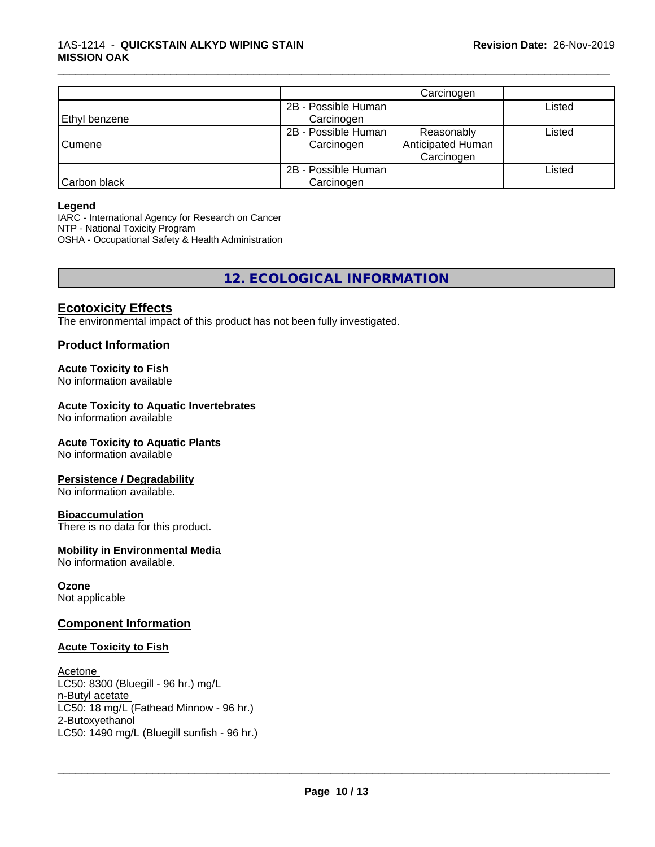|               |                                   | Carcinogen                                    |        |
|---------------|-----------------------------------|-----------------------------------------------|--------|
|               | 2B - Possible Human               |                                               | Listed |
| Ethyl benzene | Carcinogen                        |                                               |        |
| Cumene        | 2B - Possible Human<br>Carcinogen | Reasonably<br>Anticipated Human<br>Carcinogen | Listed |
| Carbon black  | 2B - Possible Human<br>Carcinogen |                                               | Listed |

\_\_\_\_\_\_\_\_\_\_\_\_\_\_\_\_\_\_\_\_\_\_\_\_\_\_\_\_\_\_\_\_\_\_\_\_\_\_\_\_\_\_\_\_\_\_\_\_\_\_\_\_\_\_\_\_\_\_\_\_\_\_\_\_\_\_\_\_\_\_\_\_\_\_\_\_\_\_\_\_\_\_\_\_\_\_\_\_\_\_\_\_\_

### **Legend**

IARC - International Agency for Research on Cancer NTP - National Toxicity Program OSHA - Occupational Safety & Health Administration

**12. ECOLOGICAL INFORMATION**

# **Ecotoxicity Effects**

The environmental impact of this product has not been fully investigated.

### **Product Information**

### **Acute Toxicity to Fish**

No information available

### **Acute Toxicity to Aquatic Invertebrates**

No information available

### **Acute Toxicity to Aquatic Plants**

No information available

### **Persistence / Degradability**

No information available.

### **Bioaccumulation**

There is no data for this product.

### **Mobility in Environmental Media**

No information available.

### **Ozone**

Not applicable

### **Component Information**

### **Acute Toxicity to Fish**

Acetone LC50: 8300 (Bluegill - 96 hr.) mg/L n-Butyl acetate LC50: 18 mg/L (Fathead Minnow - 96 hr.) 2-Butoxyethanol \_\_\_\_\_\_\_\_\_\_\_\_\_\_\_\_\_\_\_\_\_\_\_\_\_\_\_\_\_\_\_\_\_\_\_\_\_\_\_\_\_\_\_\_\_\_\_\_\_\_\_\_\_\_\_\_\_\_\_\_\_\_\_\_\_\_\_\_\_\_\_\_\_\_\_\_\_\_\_\_\_\_\_\_\_\_\_\_\_\_\_\_\_ LC50: 1490 mg/L (Bluegill sunfish - 96 hr.)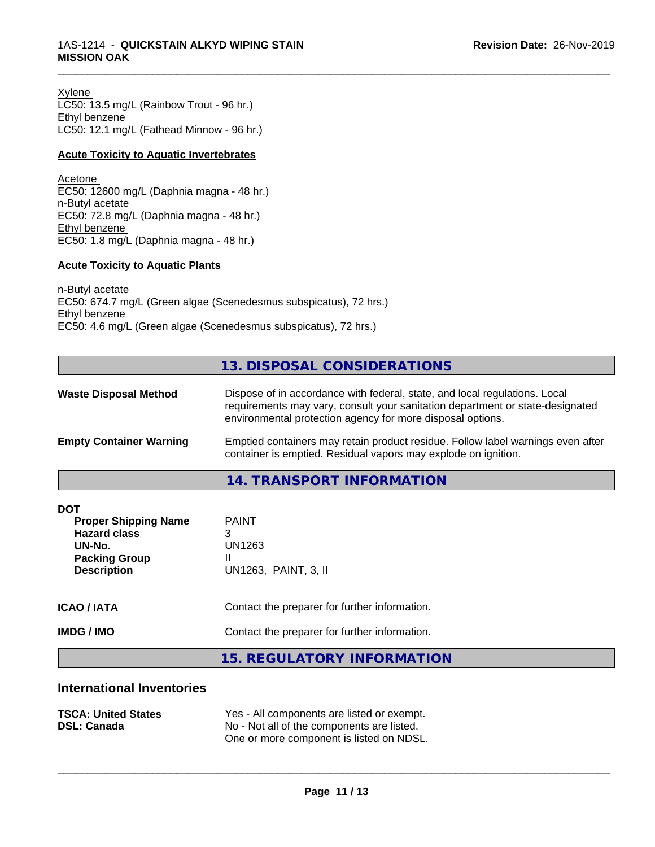Xylene LC50: 13.5 mg/L (Rainbow Trout - 96 hr.) Ethyl benzene LC50: 12.1 mg/L (Fathead Minnow - 96 hr.)

### **Acute Toxicity to Aquatic Invertebrates**

Acetone EC50: 12600 mg/L (Daphnia magna - 48 hr.) n-Butyl acetate EC50: 72.8 mg/L (Daphnia magna - 48 hr.) Ethyl benzene EC50: 1.8 mg/L (Daphnia magna - 48 hr.)

### **Acute Toxicity to Aquatic Plants**

n-Butyl acetate EC50: 674.7 mg/L (Green algae (Scenedesmus subspicatus), 72 hrs.) Ethyl benzene EC50: 4.6 mg/L (Green algae (Scenedesmus subspicatus), 72 hrs.)

# **13. DISPOSAL CONSIDERATIONS**

\_\_\_\_\_\_\_\_\_\_\_\_\_\_\_\_\_\_\_\_\_\_\_\_\_\_\_\_\_\_\_\_\_\_\_\_\_\_\_\_\_\_\_\_\_\_\_\_\_\_\_\_\_\_\_\_\_\_\_\_\_\_\_\_\_\_\_\_\_\_\_\_\_\_\_\_\_\_\_\_\_\_\_\_\_\_\_\_\_\_\_\_\_

| <b>Waste Disposal Method</b>   | Dispose of in accordance with federal, state, and local regulations. Local<br>requirements may vary, consult your sanitation department or state-designated<br>environmental protection agency for more disposal options. |  |
|--------------------------------|---------------------------------------------------------------------------------------------------------------------------------------------------------------------------------------------------------------------------|--|
| <b>Empty Container Warning</b> | Emptied containers may retain product residue. Follow label warnings even after<br>container is emptied. Residual vapors may explode on ignition.                                                                         |  |
|                                | 11 TO ANCOODT INITODIAATIONI                                                                                                                                                                                              |  |

**14. TRANSPORT INFORMATION**

| <b>DOT</b><br><b>Proper Shipping Name</b><br><b>Hazard class</b><br>UN-No.<br><b>Packing Group</b><br><b>Description</b> | <b>PAINT</b><br>3<br>UN1263<br>UN1263, PAINT, 3, II |
|--------------------------------------------------------------------------------------------------------------------------|-----------------------------------------------------|
| <b>ICAO/IATA</b>                                                                                                         | Contact the preparer for further information.       |
| <b>IMDG / IMO</b>                                                                                                        | Contact the preparer for further information.       |
|                                                                                                                          | 15 DECHLATODY INFODIAATION                          |

**15. REGULATORY INFORMATION**

# **International Inventories**

| <b>TSCA: United States</b> | Yes - All components are listed or exempt. |
|----------------------------|--------------------------------------------|
| <b>DSL: Canada</b>         | No - Not all of the components are listed. |
|                            | One or more component is listed on NDSL.   |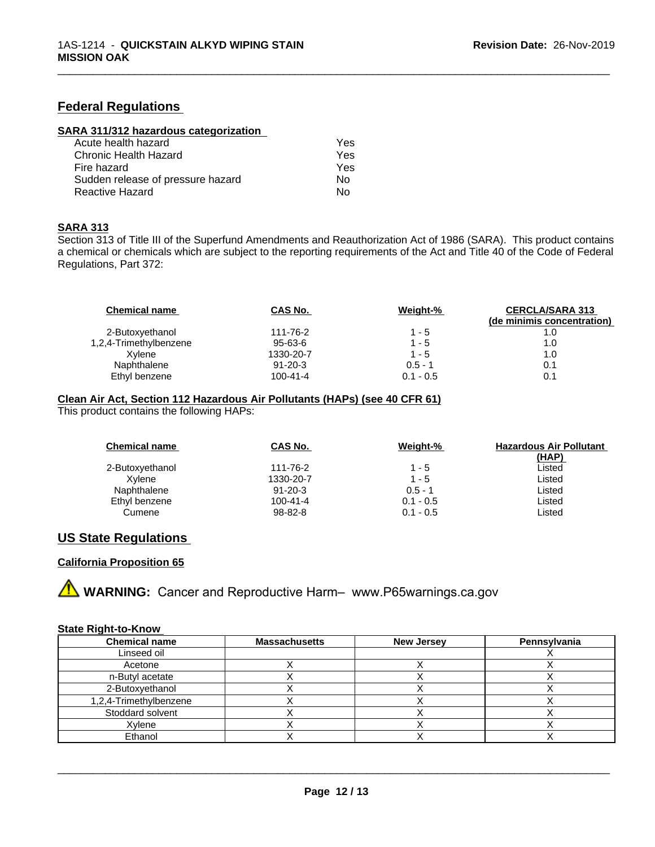# **Federal Regulations**

| SARA 311/312 hazardous categorization |  |
|---------------------------------------|--|
|                                       |  |

| Acute health hazard               | Yes |
|-----------------------------------|-----|
| Chronic Health Hazard             | Yes |
| Fire hazard                       | Yes |
| Sudden release of pressure hazard | Nο  |
| Reactive Hazard                   | N٥  |

### **SARA 313**

Section 313 of Title III of the Superfund Amendments and Reauthorization Act of 1986 (SARA). This product contains a chemical or chemicals which are subject to the reporting requirements of the Act and Title 40 of the Code of Federal Regulations, Part 372:

\_\_\_\_\_\_\_\_\_\_\_\_\_\_\_\_\_\_\_\_\_\_\_\_\_\_\_\_\_\_\_\_\_\_\_\_\_\_\_\_\_\_\_\_\_\_\_\_\_\_\_\_\_\_\_\_\_\_\_\_\_\_\_\_\_\_\_\_\_\_\_\_\_\_\_\_\_\_\_\_\_\_\_\_\_\_\_\_\_\_\_\_\_

| <b>Chemical name</b>   | CAS No.        | Weight-%    | <b>CERCLA/SARA 313</b><br>(de minimis concentration) |
|------------------------|----------------|-------------|------------------------------------------------------|
| 2-Butoxyethanol        | 111-76-2       | $1 - 5$     |                                                      |
| 1,2,4-Trimethylbenzene | 95-63-6        | $1 - 5$     | 1.0                                                  |
| Xvlene                 | 1330-20-7      | $1 - 5$     | 1.0                                                  |
| Naphthalene            | $91 - 20 - 3$  | $0.5 - 1$   | 0.1                                                  |
| Ethyl benzene          | $100 - 41 - 4$ | $0.1 - 0.5$ | 0.1                                                  |

### **Clean Air Act,Section 112 Hazardous Air Pollutants (HAPs) (see 40 CFR 61)**

This product contains the following HAPs:

| <b>Chemical name</b> | CAS No.        | Weight-%    | <b>Hazardous Air Pollutant</b><br><u>(HAP)</u> |
|----------------------|----------------|-------------|------------------------------------------------|
| 2-Butoxyethanol      | 111-76-2       | $1 - 5$     | Listed                                         |
| Xvlene               | 1330-20-7      | $1 - 5$     | Listed                                         |
| Naphthalene          | $91 - 20 - 3$  | $0.5 - 1$   | Listed                                         |
| Ethyl benzene        | $100 - 41 - 4$ | $0.1 - 0.5$ | Listed                                         |
| Cumene               | $98 - 82 - 8$  | $0.1 - 0.5$ | Listed                                         |

# **US State Regulations**

### **California Proposition 65**



### **State Right-to-Know**

| <b>Chemical name</b>   | <b>Massachusetts</b> | <b>New Jersey</b> | Pennsylvania |
|------------------------|----------------------|-------------------|--------------|
| Linseed oil            |                      |                   |              |
| Acetone                |                      |                   |              |
| n-Butyl acetate        |                      |                   |              |
| 2-Butoxyethanol        |                      |                   |              |
| 1,2,4-Trimethylbenzene |                      |                   |              |
| Stoddard solvent       |                      |                   |              |
| Xylene                 |                      |                   |              |
| Ethanol                |                      |                   |              |